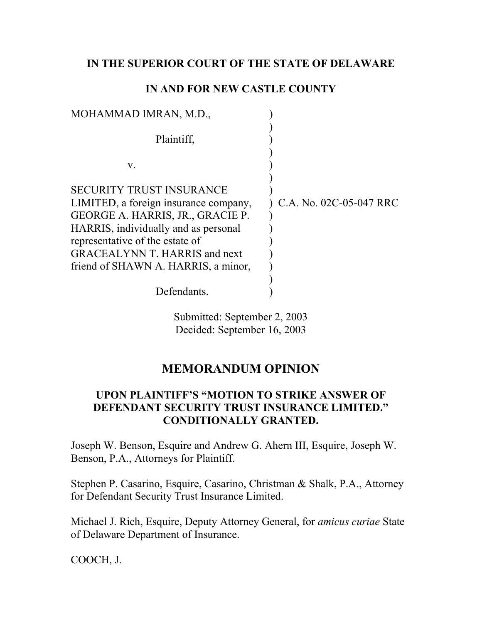#### **IN THE SUPERIOR COURT OF THE STATE OF DELAWARE**

#### **IN AND FOR NEW CASTLE COUNTY**

| MOHAMMAD IMRAN, M.D.,                                                                                                                                                                                                                                                  |                         |
|------------------------------------------------------------------------------------------------------------------------------------------------------------------------------------------------------------------------------------------------------------------------|-------------------------|
| Plaintiff,                                                                                                                                                                                                                                                             |                         |
| V.                                                                                                                                                                                                                                                                     |                         |
| <b>SECURITY TRUST INSURANCE</b><br>LIMITED, a foreign insurance company,<br>GEORGE A. HARRIS, JR., GRACIE P.<br>HARRIS, individually and as personal<br>representative of the estate of<br><b>GRACEALYNN T. HARRIS and next</b><br>friend of SHAWN A. HARRIS, a minor, | C.A. No. 02C-05-047 RRC |
| Defendants.                                                                                                                                                                                                                                                            |                         |

Submitted: September 2, 2003 Decided: September 16, 2003

## **MEMORANDUM OPINION**

### **UPON PLAINTIFF'S "MOTION TO STRIKE ANSWER OF DEFENDANT SECURITY TRUST INSURANCE LIMITED." CONDITIONALLY GRANTED.**

Joseph W. Benson, Esquire and Andrew G. Ahern III, Esquire, Joseph W. Benson, P.A., Attorneys for Plaintiff.

Stephen P. Casarino, Esquire, Casarino, Christman & Shalk, P.A., Attorney for Defendant Security Trust Insurance Limited.

Michael J. Rich, Esquire, Deputy Attorney General, for *amicus curiae* State of Delaware Department of Insurance.

COOCH, J.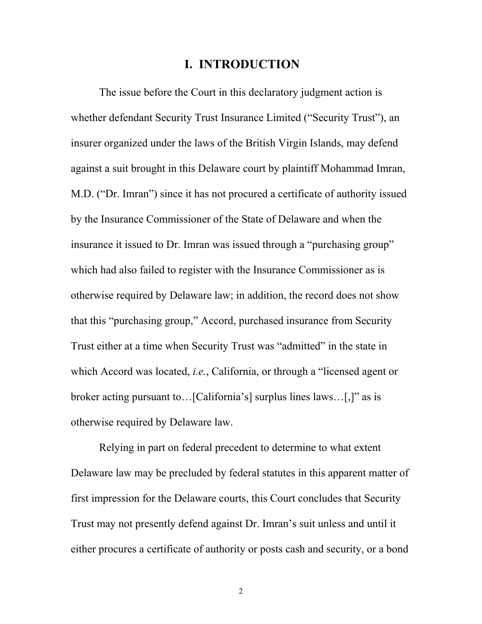## **I. INTRODUCTION**

The issue before the Court in this declaratory judgment action is whether defendant Security Trust Insurance Limited ("Security Trust"), an insurer organized under the laws of the British Virgin Islands, may defend against a suit brought in this Delaware court by plaintiff Mohammad Imran, M.D. ("Dr. Imran") since it has not procured a certificate of authority issued by the Insurance Commissioner of the State of Delaware and when the insurance it issued to Dr. Imran was issued through a "purchasing group" which had also failed to register with the Insurance Commissioner as is otherwise required by Delaware law; in addition, the record does not show that this "purchasing group," Accord, purchased insurance from Security Trust either at a time when Security Trust was "admitted" in the state in which Accord was located, *i.e.*, California, or through a "licensed agent or broker acting pursuant to…[California's] surplus lines laws…[,]" as is otherwise required by Delaware law.

Relying in part on federal precedent to determine to what extent Delaware law may be precluded by federal statutes in this apparent matter of first impression for the Delaware courts, this Court concludes that Security Trust may not presently defend against Dr. Imran's suit unless and until it either procures a certificate of authority or posts cash and security, or a bond

2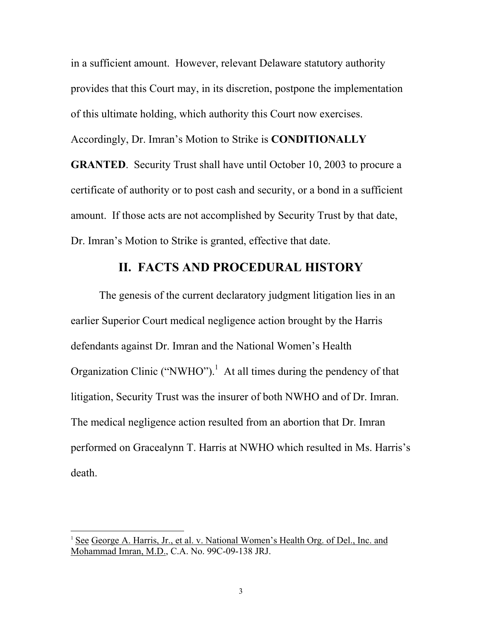in a sufficient amount. However, relevant Delaware statutory authority provides that this Court may, in its discretion, postpone the implementation of this ultimate holding, which authority this Court now exercises. Accordingly, Dr. Imran's Motion to Strike is **CONDITIONALLY GRANTED**. Security Trust shall have until October 10, 2003 to procure a certificate of authority or to post cash and security, or a bond in a sufficient amount. If those acts are not accomplished by Security Trust by that date, Dr. Imran's Motion to Strike is granted, effective that date.

## **II. FACTS AND PROCEDURAL HISTORY**

The genesis of the current declaratory judgment litigation lies in an earlier Superior Court medical negligence action brought by the Harris defendants against Dr. Imran and the National Women's Health Organization Clinic ("NWHO").<sup>[1](#page-2-0)</sup> At all times during the pendency of that litigation, Security Trust was the insurer of both NWHO and of Dr. Imran. The medical negligence action resulted from an abortion that Dr. Imran performed on Gracealynn T. Harris at NWHO which resulted in Ms. Harris's death.

<span id="page-2-0"></span><sup>&</sup>lt;sup>1</sup> See George A. Harris, Jr., et al. v. National Women's Health Org. of Del., Inc. and Mohammad Imran, M.D., C.A. No. 99C-09-138 JRJ.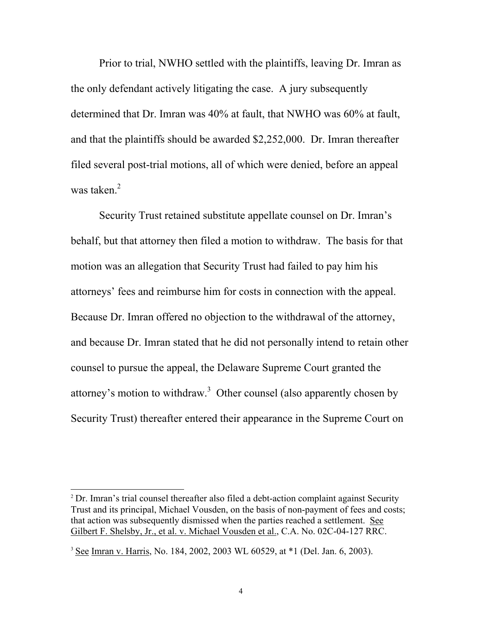Prior to trial, NWHO settled with the plaintiffs, leaving Dr. Imran as the only defendant actively litigating the case. A jury subsequently determined that Dr. Imran was 40% at fault, that NWHO was 60% at fault, and that the plaintiffs should be awarded \$2,252,000. Dr. Imran thereafter filed several post-trial motions, all of which were denied, before an appeal was taken $<sup>2</sup>$ </sup>

Security Trust retained substitute appellate counsel on Dr. Imran's behalf, but that attorney then filed a motion to withdraw. The basis for that motion was an allegation that Security Trust had failed to pay him his attorneys' fees and reimburse him for costs in connection with the appeal. Because Dr. Imran offered no objection to the withdrawal of the attorney, and because Dr. Imran stated that he did not personally intend to retain other counsel to pursue the appeal, the Delaware Supreme Court granted the attorney's motion to withdraw.<sup>[3](#page-3-1)</sup> Other counsel (also apparently chosen by Security Trust) thereafter entered their appearance in the Supreme Court on

<span id="page-3-0"></span><sup>&</sup>lt;sup>2</sup> Dr. Imran's trial counsel thereafter also filed a debt-action complaint against Security Trust and its principal, Michael Vousden, on the basis of non-payment of fees and costs; that action was subsequently dismissed when the parties reached a settlement. See Gilbert F. Shelsby, Jr., et al. v. Michael Vousden et al., C.A. No. 02C-04-127 RRC.

<span id="page-3-1"></span><sup>3</sup> See Imran v. Harris, No. 184, 2002, 2003 WL 60529, at \*1 (Del. Jan. 6, 2003).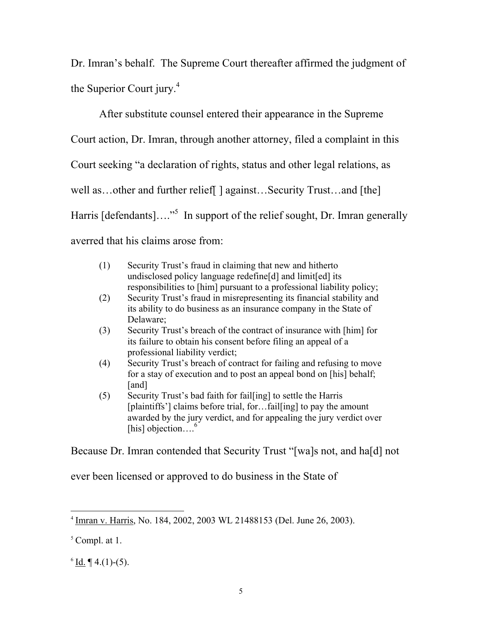Dr. Imran's behalf. The Supreme Court thereafter affirmed the judgment of the Superior Court jury.<sup>[4](#page-4-0)</sup>

After substitute counsel entered their appearance in the Supreme Court action, Dr. Imran, through another attorney, filed a complaint in this Court seeking "a declaration of rights, status and other legal relations, as well as...other and further relief  $\vert$  against...Security Trust...and [the] Harris [defendants]...."<sup>5</sup> In support of the relief sought, Dr. Imran generally averred that his claims arose from:

| (1) | Security Trust's fraud in claiming that new and hitherto<br>undisclosed policy language redefine[d] and limit[ed] its<br>responsibilities to [him] pursuant to a professional liability policy;                                |
|-----|--------------------------------------------------------------------------------------------------------------------------------------------------------------------------------------------------------------------------------|
| (2) | Security Trust's fraud in misrepresenting its financial stability and<br>its ability to do business as an insurance company in the State of<br>Delaware;                                                                       |
| (3) | Security Trust's breach of the contract of insurance with [him] for<br>its failure to obtain his consent before filing an appeal of a<br>professional liability verdict;                                                       |
| (4) | Security Trust's breach of contract for failing and refusing to move<br>for a stay of execution and to post an appeal bond on [his] behalf;<br>[and]                                                                           |
| (5) | Security Trust's bad faith for fail [ing] to settle the Harris<br>[plaintiffs'] claims before trial, forfail[ing] to pay the amount<br>awarded by the jury verdict, and for appealing the jury verdict over<br>[his] objection |

Because Dr. Imran contended that Security Trust "[wa]s not, and ha[d] not

ever been licensed or approved to do business in the State of

<span id="page-4-2"></span> $6 \underline{Id}$ .  $\P$  4.(1)-(5).

<span id="page-4-0"></span> <sup>4</sup> Imran v. Harris, No. 184, 2002, 2003 WL 21488153 (Del. June 26, 2003).

<span id="page-4-1"></span> $<sup>5</sup>$  Compl. at 1.</sup>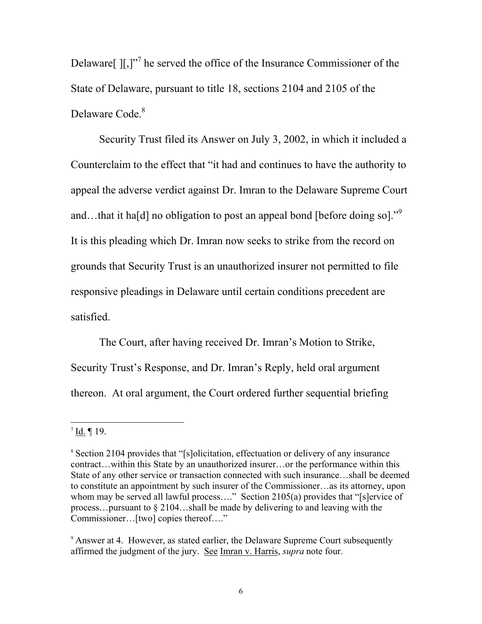Delaware $\left[\right]$ [,]"<sup>7</sup> [h](#page-5-0)e served the office of the Insurance Commissioner of the State of Delaware, pursuant to title 18, sections 2104 and 2105 of the Delaware Code.<sup>[8](#page-5-1)</sup>

Security Trust filed its Answer on July 3, 2002, in which it included a Counterclaim to the effect that "it had and continues to have the authority to appeal the adverse verdict against Dr. Imran to the Delaware Supreme Court and...thatit has deligation to post an appeal bond [before doing so].<sup>"9</sup> It is this pleading which Dr. Imran now seeks to strike from the record on grounds that Security Trust is an unauthorized insurer not permitted to file responsive pleadings in Delaware until certain conditions precedent are satisfied.

The Court, after having received Dr. Imran's Motion to Strike, Security Trust's Response, and Dr. Imran's Reply, held oral argument thereon. At oral argument, the Court ordered further sequential briefing

<span id="page-5-0"></span> $7$  Id. ¶ 19.

<span id="page-5-1"></span><sup>&</sup>lt;sup>8</sup> Section 2104 provides that "[s]olicitation, effectuation or delivery of any insurance contract…within this State by an unauthorized insurer…or the performance within this State of any other service or transaction connected with such insurance…shall be deemed to constitute an appointment by such insurer of the Commissioner…as its attorney, upon whom may be served all lawful process...." Section 2105(a) provides that "[s]ervice of process…pursuant to § 2104…shall be made by delivering to and leaving with the Commissioner…[two] copies thereof…."

<span id="page-5-2"></span><sup>&</sup>lt;sup>9</sup> Answer at 4. However, as stated earlier, the Delaware Supreme Court subsequently affirmed the judgment of the jury. See Imran v. Harris, *supra* note four.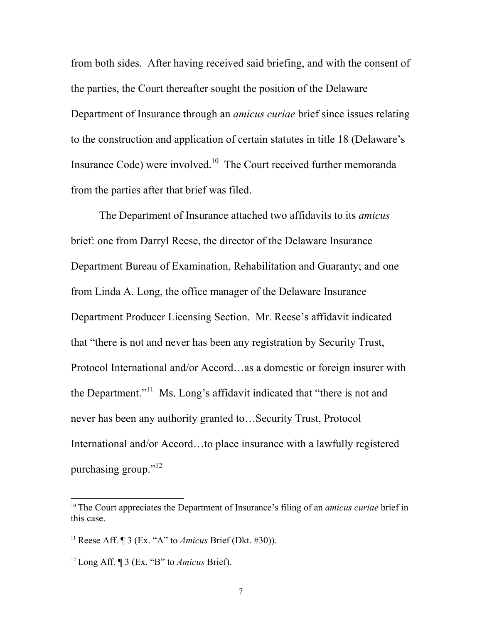from both sides. After having received said briefing, and with the consent of the parties, the Court thereafter sought the position of the Delaware Department of Insurance through an *amicus curiae* brief since issues relating to the construction and application of certain statutes in title 18 (Delaware's Insurance Code) were involved.[10](#page-6-0) The Court received further memoranda from the parties after that brief was filed.

The Department of Insurance attached two affidavits to its *amicus* brief: one from Darryl Reese, the director of the Delaware Insurance Department Bureau of Examination, Rehabilitation and Guaranty; and one from Linda A. Long, the office manager of the Delaware Insurance Department Producer Licensing Section. Mr. Reese's affidavit indicated that "there is not and never has been any registration by Security Trust, Protocol International and/or Accord…as a domestic or foreign insurer with the Department."<sup>11</sup> Ms. Long's affidavit indicated that "there is not and never has been any authority granted to…Security Trust, Protocol International and/or Accord…to place insurance with a lawfully registered purchasing group."<sup>12</sup>

<span id="page-6-0"></span><sup>&</sup>lt;sup>10</sup> The Court appreciates the Department of Insurance's filing of an *amicus curiae* brief in this case.

<span id="page-6-1"></span><sup>11</sup> Reese Aff. ¶ 3 (Ex. "A" to *Amicus* Brief (Dkt. #30)).

<span id="page-6-2"></span><sup>12</sup> Long Aff. ¶ 3 (Ex. "B" to *Amicus* Brief).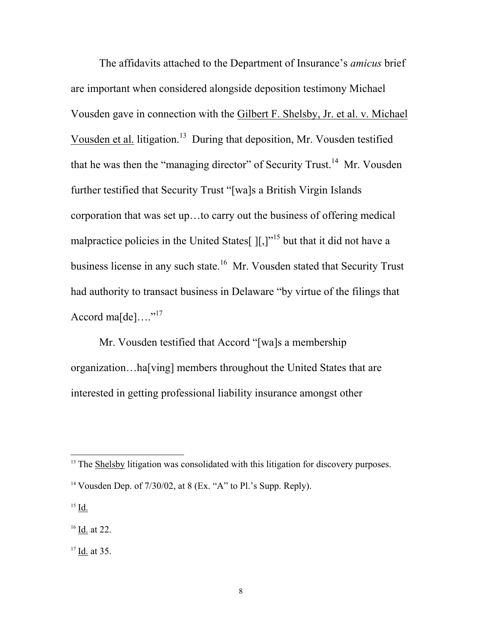The affidavits attached to the Department of Insurance's *amicus* brief are important when considered alongside deposition testimony Michael Vousden gave in connection with the Gilbert F. Shelsby, Jr. et al. v. Michael Vousden et al. litigation[.13](#page-7-0) During that deposition, Mr. Vousden testified that he was then the "managing director" of Security Trust.<sup>14</sup> Mr. Vousden further testified that Security Trust "[wa]s a British Virgin Islands corporation that was set up…to carry out the business of offering medical malpractice policies in the United States  $[[.]^{1}$  but that it did not have a business license in any such state.<sup>16</sup> Mr. Vousden stated that Security Trust had authority to transact business in Delaware "by virtue of the filings that Accord ma $[de] \dots$ <sup>"[17](#page-7-4)</sup>

Mr. Vousden testified that Accord "[wa]s a membership organization…ha[ving] members throughout the United States that are interested in getting professional liability insurance amongst other

<span id="page-7-2"></span><sup>15</sup> Id.

<span id="page-7-3"></span><sup>16</sup> Id. at 22.

<span id="page-7-4"></span> $17$  Id. at 35.

<span id="page-7-0"></span><sup>&</sup>lt;sup>13</sup> The Shelsby litigation was consolidated with this litigation for discovery purposes.

<span id="page-7-1"></span><sup>&</sup>lt;sup>14</sup> Vousden Dep. of  $7/30/02$ , at 8 (Ex. "A" to Pl.'s Supp. Reply).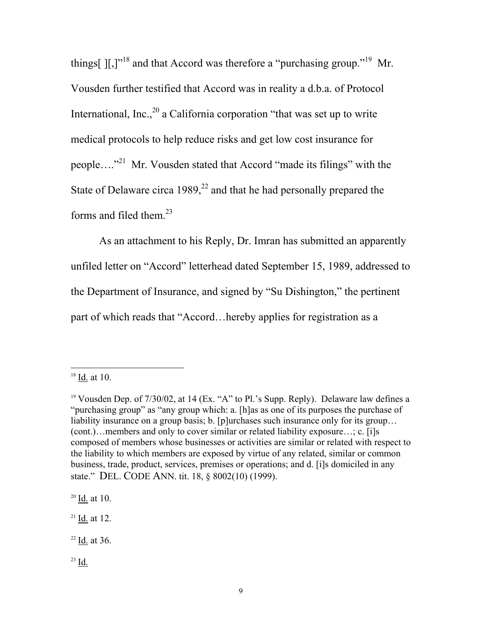things[ $\left[\right],\right]$ <sup>"18</sup> and that Accord was therefore a "purchasing group."<sup>19</sup> Mr. Vousden further testified that Accord was in reality a d.b.a. of Protocol International, Inc.,  $^{20}$  a California corporation "that was set up to write medical protocols to help reduce risks and get low cost insurance for people…."[21](#page-8-3) Mr. Vousden stated that Accord "made its filings" with the State of Delaware circa  $1989$ ,<sup>22</sup> and that he had personally prepared the forms and filed them. [23](#page-8-5)

As an attachment to his Reply, Dr. Imran has submitted an apparently unfiled letter on "Accord" letterhead dated September 15, 1989, addressed to the Department of Insurance, and signed by "Su Dishington," the pertinent part of which reads that "Accord…hereby applies for registration as a

<span id="page-8-0"></span> <sup>18</sup> Id. at 10.

<span id="page-8-1"></span><sup>&</sup>lt;sup>19</sup> Vousden Dep. of  $7/30/02$ , at 14 (Ex. "A" to Pl.'s Supp. Reply). Delaware law defines a "purchasing group" as "any group which: a. [h]as as one of its purposes the purchase of liability insurance on a group basis; b. [p]urchases such insurance only for its group... (cont.)…members and only to cover similar or related liability exposure…; c. [i]s composed of members whose businesses or activities are similar or related with respect to the liability to which members are exposed by virtue of any related, similar or common business, trade, product, services, premises or operations; and d. [i]s domiciled in any state." DEL. CODE ANN. tit. 18, § 8002(10) (1999).

<span id="page-8-2"></span> $20$  <u>Id</u>. at 10.

<span id="page-8-3"></span> $21$  <u>Id</u>. at 12.

<span id="page-8-4"></span> $22$  <u>Id.</u> at 36.

<span id="page-8-5"></span> $23$  Id.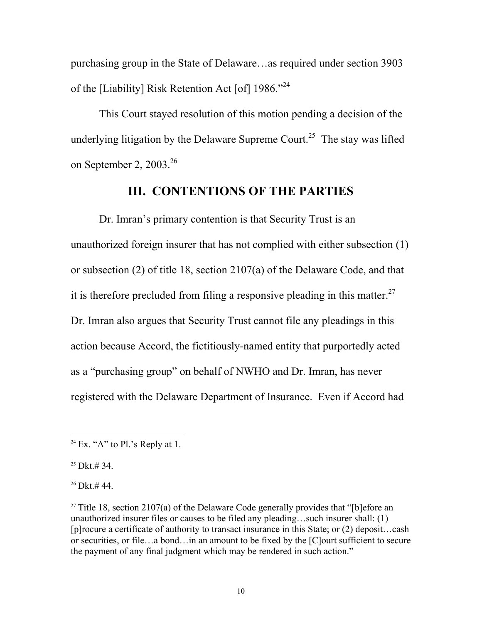purchasing group in the State of Delaware…as required under section 3903 of the [Liability] Risk Retention Act [of] 1986."<sup>[24](#page-9-0)</sup>

This Court stayed resolution of this motion pending a decision of the underlying litigation by the Delaware Supreme Court.<sup>25</sup> The stay was lifted on September 2,  $2003.<sup>26</sup>$ 

#### **III. CONTENTIONS OF THE PARTIES**

Dr. Imran's primary contention is that Security Trust is an unauthorized foreign insurer that has not complied with either subsection (1) or subsection (2) of title 18, section 2107(a) of the Delaware Code, and that it is therefore precluded from filing a responsive pleading in this matter.<sup>27</sup> Dr. Imran also argues that Security Trust cannot file any pleadings in this action because Accord, the fictitiously-named entity that purportedly acted as a "purchasing group" on behalf of NWHO and Dr. Imran, has never registered with the Delaware Department of Insurance. Even if Accord had

<span id="page-9-1"></span> $25$  Dkt.# 34.

<span id="page-9-2"></span> $26$  Dkt.# 44.

<span id="page-9-0"></span> $24$  Ex. "A" to Pl.'s Reply at 1.

<span id="page-9-3"></span><sup>&</sup>lt;sup>27</sup> Title 18, section 2107(a) of the Delaware Code generally provides that "[b]efore an unauthorized insurer files or causes to be filed any pleading…such insurer shall: (1) [p]rocure a certificate of authority to transact insurance in this State; or (2) deposit…cash or securities, or file…a bond…in an amount to be fixed by the [C]ourt sufficient to secure the payment of any final judgment which may be rendered in such action."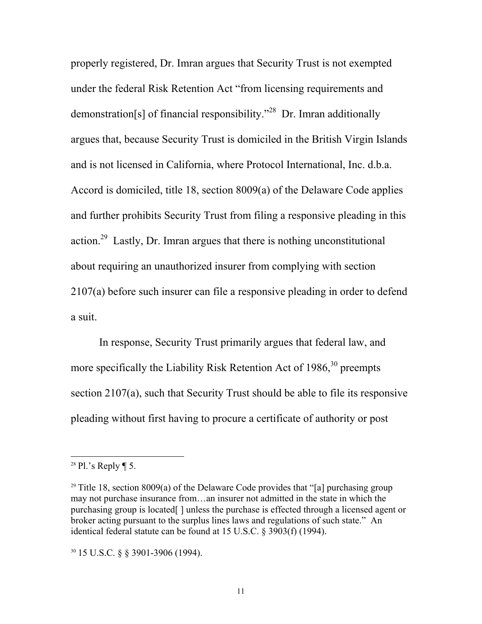properly registered, Dr. Imran argues that Security Trust is not exempted under the federal Risk Retention Act "from licensing requirements and demonstration[s] of financial responsibility."[28](#page-10-0) Dr. Imran additionally argues that, because Security Trust is domiciled in the British Virgin Islands and is not licensed in California, where Protocol International, Inc. d.b.a. Accord is domiciled, title 18, section 8009(a) of the Delaware Code applies and further prohibits Security Trust from filing a responsive pleading in this action.[29](#page-10-1) Lastly, Dr. Imran argues that there is nothing unconstitutional about requiring an unauthorized insurer from complying with section 2107(a) before such insurer can file a responsive pleading in order to defend a suit.

In response, Security Trust primarily argues that federal law, and more specifically the Liability Risk Retention Act of  $1986$ ,  $30$  preempts section 2107(a), such that Security Trust should be able to file its responsive pleading without first having to procure a certificate of authority or post

<span id="page-10-0"></span><sup>&</sup>lt;sup>28</sup> Pl.'s Reply  $\P$  5.

<span id="page-10-1"></span><sup>&</sup>lt;sup>29</sup> Title 18, section 8009(a) of the Delaware Code provides that "[a] purchasing group may not purchase insurance from…an insurer not admitted in the state in which the purchasing group is located[ ] unless the purchase is effected through a licensed agent or broker acting pursuant to the surplus lines laws and regulations of such state." An identical federal statute can be found at 15 U.S.C. § 3903(f) (1994).

<span id="page-10-2"></span><sup>30</sup> 15 U.S.C. § § 3901-3906 (1994).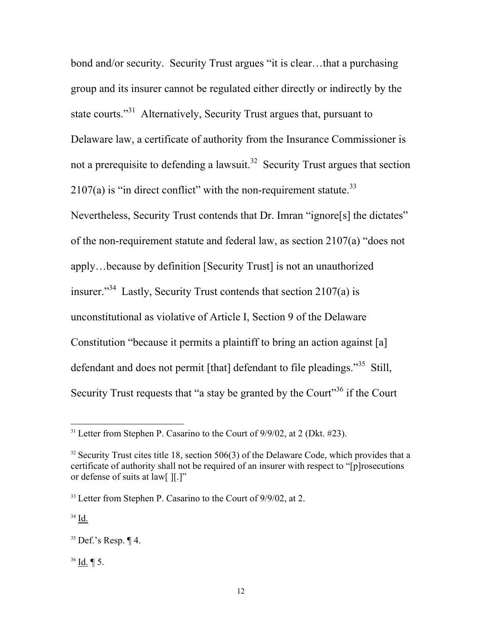bond and/or security. Security Trust argues "it is clear…that a purchasing group and its insurer cannot be regulated either directly or indirectly by the state courts."[31](#page-11-0) Alternatively, Security Trust argues that, pursuant to Delaware law, a certificate of authority from the Insurance Commissioner is not a prerequisite to defending a lawsuit.<sup>32</sup> Security Trust argues that section  $2107(a)$  is "in direct conflict" with the non-requirement statute.<sup>33</sup> Nevertheless, Security Trust contends that Dr. Imran "ignore[s] the dictates" of the non-requirement statute and federal law, as section 2107(a) "does not apply…because by definition [Security Trust] is not an unauthorized insurer."<sup>34</sup> Lastly, Security Trust contends that section  $2107(a)$  is unconstitutional as violative of Article I, Section 9 of the Delaware Constitution "because it permits a plaintiff to bring an action against [a] defendant and does not permit [that] defendant to file pleadings."<sup>35</sup> Still, Security Trust requests that "a stay be granted by the Court"<sup>36</sup> if the Court"

<span id="page-11-3"></span><sup>34</sup> Id.

<span id="page-11-5"></span> $36$  Id. ¶ 5.

<span id="page-11-0"></span> $31$  Letter from Stephen P. Casarino to the Court of  $9/9/02$ , at 2 (Dkt. #23).

<span id="page-11-1"></span> $32$  Security Trust cites title 18, section 506(3) of the Delaware Code, which provides that a certificate of authority shall not be required of an insurer with respect to "[p]rosecutions or defense of suits at law[ ][.]"

<span id="page-11-2"></span><sup>&</sup>lt;sup>33</sup> Letter from Stephen P. Casarino to the Court of 9/9/02, at 2.

<span id="page-11-4"></span> $35$  Def.'s Resp.  $\P$  4.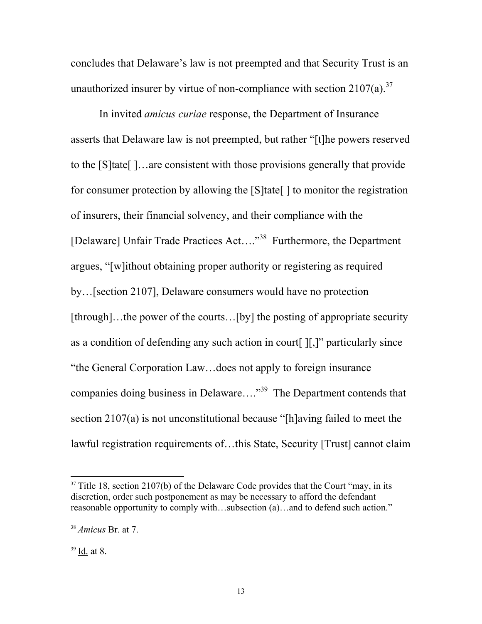concludes that Delaware's law is not preempted and that Security Trust is an unauthorized insurer by virtue of non-compliance with section  $2107(a)$ .<sup>[37](#page-12-0)</sup>

 In invited *amicus curiae* response, the Department of Insurance asserts that Delaware law is not preempted, but rather "[t]he powers reserved to the [S]tate[ ]…are consistent with those provisions generally that provide for consumer protection by allowing the [S]tate[ ] to monitor the registration of insurers, their financial solvency, and their compliance with the [Delaware] Unfair Trade Practices Act…."[38](#page-12-1) Furthermore, the Department argues, "[w]ithout obtaining proper authority or registering as required by…[section 2107], Delaware consumers would have no protection [through]...the power of the courts...[by] the posting of appropriate security as a condition of defending any such action in court[ ][,]" particularly since "the General Corporation Law…does not apply to foreign insurance companies doing business in Delaware…."<sup>39</sup> The Department contends that section 2107(a) is not unconstitutional because "[h]aving failed to meet the lawful registration requirements of…this State, Security [Trust] cannot claim

<span id="page-12-0"></span> $37$  Title 18, section 2107(b) of the Delaware Code provides that the Court "may, in its discretion, order such postponement as may be necessary to afford the defendant reasonable opportunity to comply with…subsection (a)…and to defend such action."

<span id="page-12-1"></span><sup>38</sup> *Amicus* Br. at 7.

<span id="page-12-2"></span> $39$  Id. at 8.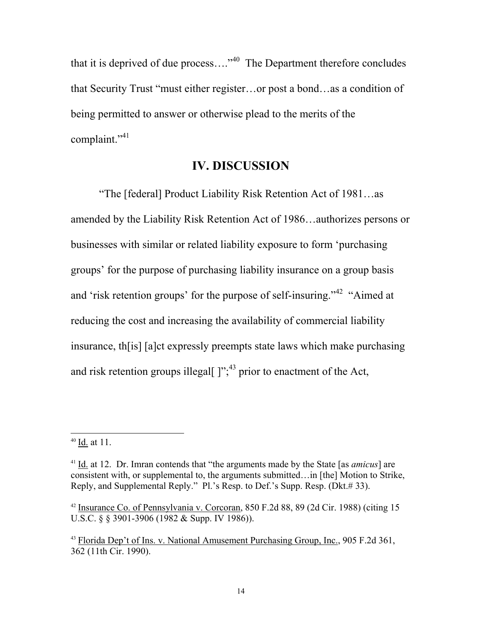that it is deprived of due process...."<sup>40</sup> The Department therefore concludes that Security Trust "must either register…or post a bond…as a condition of being permitted to answer or otherwise plead to the merits of the complaint."<sup>[41](#page-13-1)</sup>

## **IV. DISCUSSION**

"The [federal] Product Liability Risk Retention Act of 1981…as amended by the Liability Risk Retention Act of 1986…authorizes persons or businesses with similar or related liability exposure to form 'purchasing groups' for the purpose of purchasing liability insurance on a group basis and 'risk retention groups' for the purpose of self-insuring."[42](#page-13-2) "Aimed at reducing the cost and increasing the availability of commercial liability insurance, th[is] [a]ct expressly preempts state laws which make purchasing and risk retention groups illegal[ $]$ ";<sup>43</sup> prior to enactment of the Act,

<span id="page-13-0"></span> $40$  Id. at 11.

<span id="page-13-1"></span><sup>41</sup> Id. at 12. Dr. Imran contends that "the arguments made by the State [as *amicus*] are consistent with, or supplemental to, the arguments submitted…in [the] Motion to Strike, Reply, and Supplemental Reply." Pl.'s Resp. to Def.'s Supp. Resp. (Dkt.# 33).

<span id="page-13-2"></span> $42$  Insurance Co. of Pennsylvania v. Corcoran, 850 F.2d 88, 89 (2d Cir. 1988) (citing 15 U.S.C. § § 3901-3906 (1982 & Supp. IV 1986)).

<span id="page-13-3"></span><sup>43</sup> Florida Dep't of Ins. v. National Amusement Purchasing Group, Inc., 905 F.2d 361, 362 (11th Cir. 1990).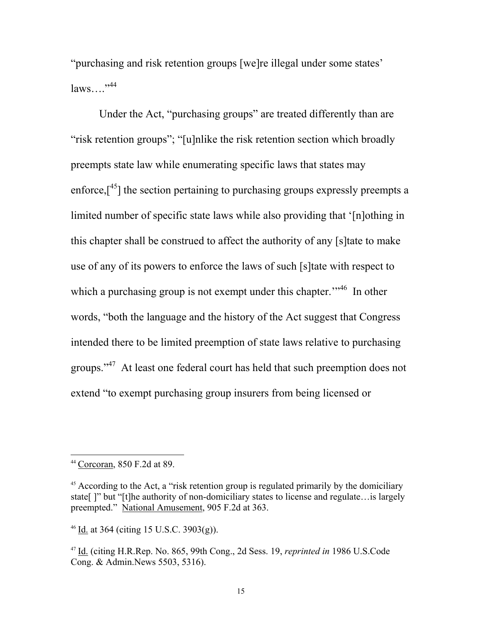"purchasing and risk retention groups [we]re illegal under some states'  $laws....$ <sup> $,44$  $,44$ </sup>

Under the Act, "purchasing groups" are treated differently than are "risk retention groups"; "[u]nlike the risk retention section which broadly preempts state law while enumerating specific laws that states may enforce, $[45]$  the section pertaining to purchasing groups expressly preempts a limited number of specific state laws while also providing that '[n]othing in this chapter shall be construed to affect the authority of any [s]tate to make use of any of its powers to enforce the laws of such [s]tate with respect to which a purchasing group is not exempt under this chapter."<sup>46</sup> In other words, "both the language and the history of the Act suggest that Congress intended there to be limited preemption of state laws relative to purchasing groups."<sup>47</sup> At least one federal court has held that such preemption does not extend "to exempt purchasing group insurers from being licensed or

<span id="page-14-0"></span> <sup>44</sup> Corcoran, 850 F.2d at 89.

<span id="page-14-1"></span> $45$  According to the Act, a "risk retention group is regulated primarily by the domiciliary state[ ]" but "[t]he authority of non-domiciliary states to license and regulate... is largely preempted." National Amusement, 905 F.2d at 363.

<span id="page-14-2"></span> $46$  Id. at 364 (citing 15 U.S.C. 3903(g)).

<span id="page-14-3"></span><sup>47</sup> Id. (citing H.R.Rep. No. 865, 99th Cong., 2d Sess. 19, *reprinted in* 1986 U.S.Code Cong. & Admin.News 5503, 5316).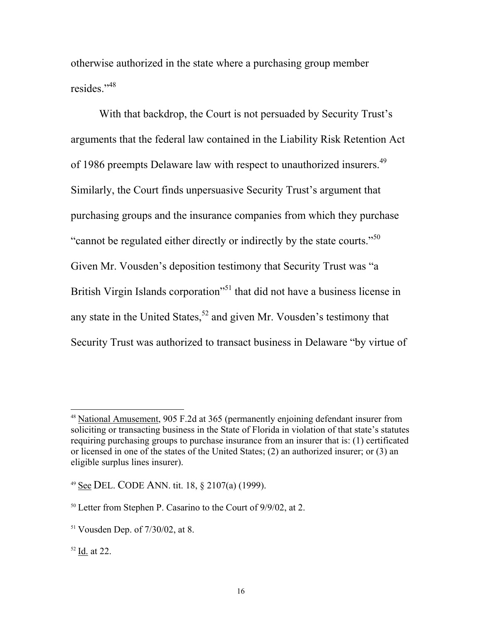otherwise authorized in the state where a purchasing group member resides."[48](#page-15-0)

With that backdrop, the Court is not persuaded by Security Trust's arguments that the federal law contained in the Liability Risk Retention Act of 1986 preempts Delaware law with respect to unauthorized insurers.<sup>49</sup> Similarly, the Court finds unpersuasive Security Trust's argument that purchasing groups and the insurance companies from which they purchase "cannot be regulated either directly or indirectly by the state courts."[50](#page-15-2)  Given Mr. Vousden's deposition testimony that Security Trust was "a British Virgin Islands corporation<sup>51</sup> that did not have a business license in any state in the United States,<sup>52</sup> and given Mr. Vousden's testimony that Security Trust was authorized to transact business in Delaware "by virtue of

<span id="page-15-0"></span> <sup>48</sup> National Amusement, 905 F.2d at 365 (permanently enjoining defendant insurer from soliciting or transacting business in the State of Florida in violation of that state's statutes requiring purchasing groups to purchase insurance from an insurer that is: (1) certificated or licensed in one of the states of the United States; (2) an authorized insurer; or (3) an eligible surplus lines insurer).

<span id="page-15-1"></span><sup>49</sup> See DEL. CODE ANN. tit. 18, § 2107(a) (1999).

<span id="page-15-2"></span><sup>50</sup> Letter from Stephen P. Casarino to the Court of 9/9/02, at 2.

<span id="page-15-3"></span><sup>51</sup> Vousden Dep. of 7/30/02, at 8.

<span id="page-15-4"></span> $52$  Id. at 22.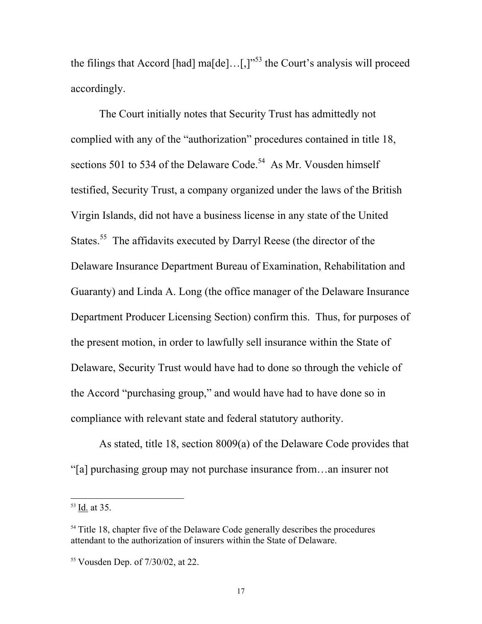the filings that Accord [had] ma[de]...[,]"<sup>53</sup> the Court's analysis will proceed accordingly.

The Court initially notes that Security Trust has admittedly not complied with any of the "authorization" procedures contained in title 18, sections 501 to 534 of the Delaware Code.<sup>54</sup> As Mr. Vousden himself testified, Security Trust, a company organized under the laws of the British Virgin Islands, did not have a business license in any state of the United States.<sup>55</sup> The affidavits executed by Darryl Reese (the director of the Delaware Insurance Department Bureau of Examination, Rehabilitation and Guaranty) and Linda A. Long (the office manager of the Delaware Insurance Department Producer Licensing Section) confirm this. Thus, for purposes of the present motion, in order to lawfully sell insurance within the State of Delaware, Security Trust would have had to done so through the vehicle of the Accord "purchasing group," and would have had to have done so in compliance with relevant state and federal statutory authority.

As stated, title 18, section 8009(a) of the Delaware Code provides that "[a] purchasing group may not purchase insurance from…an insurer not

<span id="page-16-0"></span> <sup>53</sup> Id. at 35.

<span id="page-16-1"></span><sup>&</sup>lt;sup>54</sup> Title 18, chapter five of the Delaware Code generally describes the procedures attendant to the authorization of insurers within the State of Delaware.

<span id="page-16-2"></span><sup>55</sup> Vousden Dep. of 7/30/02, at 22.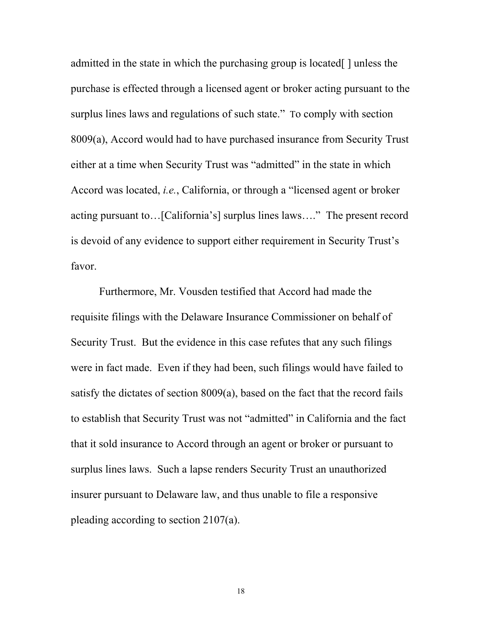admitted in the state in which the purchasing group is located[ ] unless the purchase is effected through a licensed agent or broker acting pursuant to the surplus lines laws and regulations of such state." To comply with section 8009(a), Accord would had to have purchased insurance from Security Trust either at a time when Security Trust was "admitted" in the state in which Accord was located, *i.e.*, California, or through a "licensed agent or broker acting pursuant to…[California's] surplus lines laws…." The present record is devoid of any evidence to support either requirement in Security Trust's favor.

Furthermore, Mr. Vousden testified that Accord had made the requisite filings with the Delaware Insurance Commissioner on behalf of Security Trust. But the evidence in this case refutes that any such filings were in fact made. Even if they had been, such filings would have failed to satisfy the dictates of section 8009(a), based on the fact that the record fails to establish that Security Trust was not "admitted" in California and the fact that it sold insurance to Accord through an agent or broker or pursuant to surplus lines laws. Such a lapse renders Security Trust an unauthorized insurer pursuant to Delaware law, and thus unable to file a responsive pleading according to section 2107(a).

18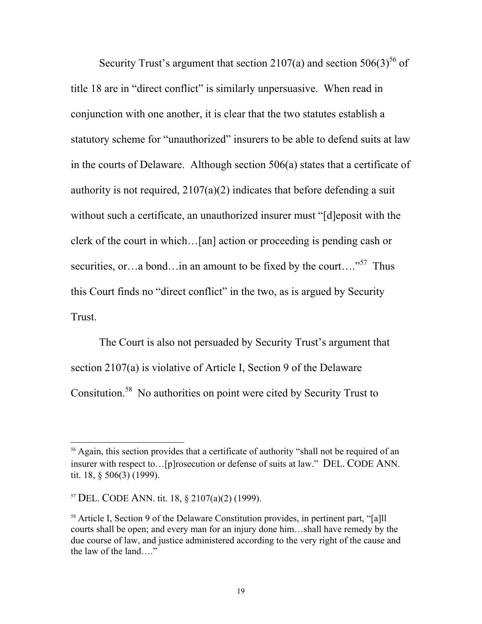Security Trust's argument that section 2107(a) and section  $506(3)^{56}$  of title 18 are in "direct conflict" is similarly unpersuasive. When read in conjunction with one another, it is clear that the two statutes establish a statutory scheme for "unauthorized" insurers to be able to defend suits at law in the courts of Delaware. Although section 506(a) states that a certificate of authority is not required,  $2107(a)(2)$  indicates that before defending a suit without such a certificate, an unauthorized insurer must "[d]eposit with the clerk of the court in which…[an] action or proceeding is pending cash or securities, or…a bond…in an amount to be fixed by the court…."<sup>57</sup> Thus this Court finds no "direct conflict" in the two, as is argued by Security Trust.

The Court is also not persuaded by Security Trust's argument that section 2107(a) is violative of Article I, Section 9 of the Delaware Consitution.[58](#page-18-2) No authorities on point were cited by Security Trust to

<span id="page-18-0"></span><sup>&</sup>lt;sup>56</sup> Again, this section provides that a certificate of authority "shall not be required of an insurer with respect to…[p]rosecution or defense of suits at law." DEL. CODE ANN. tit. 18, § 506(3) (1999).

<span id="page-18-1"></span><sup>57</sup> DEL. CODE ANN. tit. 18, § 2107(a)(2) (1999).

<span id="page-18-2"></span><sup>58</sup> Article I, Section 9 of the Delaware Constitution provides, in pertinent part, "[a]ll courts shall be open; and every man for an injury done him…shall have remedy by the due course of law, and justice administered according to the very right of the cause and the law of the land…."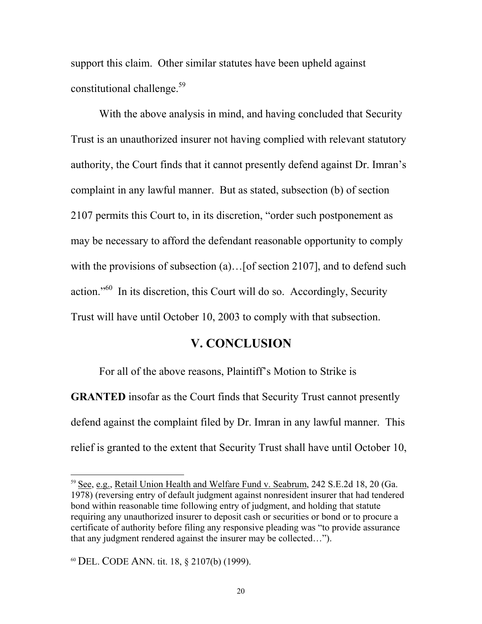support this claim. Other similar statutes have been upheld against constitutional challenge.<sup>59</sup>

With the above analysis in mind, and having concluded that Security Trust is an unauthorized insurer not having complied with relevant statutory authority, the Court finds that it cannot presently defend against Dr. Imran's complaint in any lawful manner. But as stated, subsection (b) of section 2107 permits this Court to, in its discretion, "order such postponement as may be necessary to afford the defendant reasonable opportunity to comply with the provisions of subsection (a)...[of section 2107], and to defend such action."[60](#page-19-1) In its discretion, this Court will do so. Accordingly, Security Trust will have until October 10, 2003 to comply with that subsection.

#### **V. CONCLUSION**

For all of the above reasons, Plaintiff's Motion to Strike is **GRANTED** insofar as the Court finds that Security Trust cannot presently defend against the complaint filed by Dr. Imran in any lawful manner. This relief is granted to the extent that Security Trust shall have until October 10,

<span id="page-19-0"></span> <sup>59</sup> See, e.g., Retail Union Health and Welfare Fund v. Seabrum, 242 S.E.2d 18, 20 (Ga. 1978) (reversing entry of default judgment against nonresident insurer that had tendered bond within reasonable time following entry of judgment, and holding that statute requiring any unauthorized insurer to deposit cash or securities or bond or to procure a certificate of authority before filing any responsive pleading was "to provide assurance that any judgment rendered against the insurer may be collected…").

<span id="page-19-1"></span><sup>60</sup> DEL. CODE ANN. tit. 18, § 2107(b) (1999).